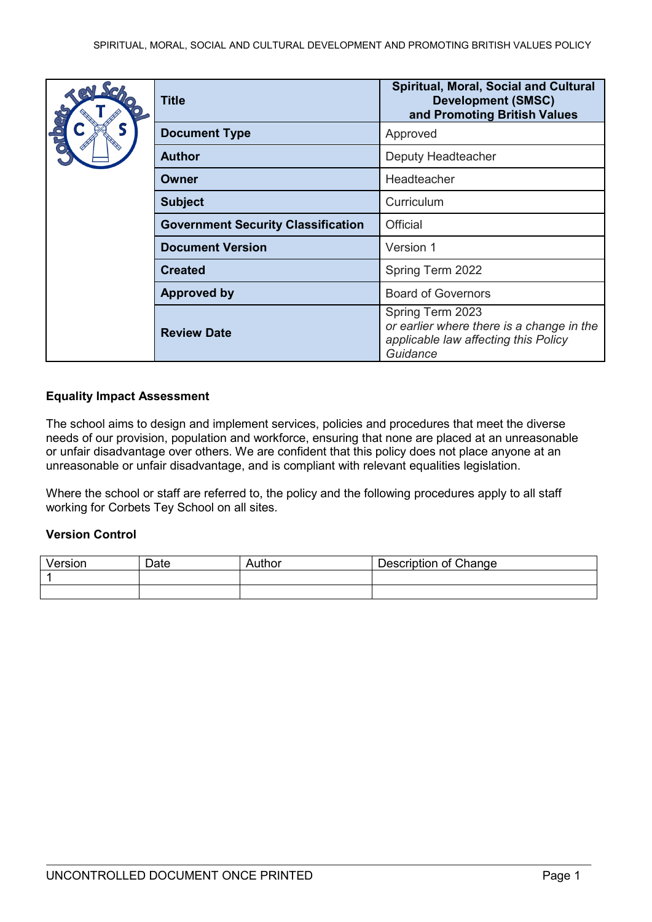|  | <b>Title</b>                              | <b>Spiritual, Moral, Social and Cultural</b><br><b>Development (SMSC)</b><br>and Promoting British Values         |
|--|-------------------------------------------|-------------------------------------------------------------------------------------------------------------------|
|  | <b>Document Type</b>                      | Approved                                                                                                          |
|  | <b>Author</b>                             | Deputy Headteacher                                                                                                |
|  | Owner                                     | Headteacher                                                                                                       |
|  | <b>Subject</b>                            | Curriculum                                                                                                        |
|  | <b>Government Security Classification</b> | Official                                                                                                          |
|  | <b>Document Version</b>                   | Version 1                                                                                                         |
|  | <b>Created</b>                            | Spring Term 2022                                                                                                  |
|  | <b>Approved by</b>                        | <b>Board of Governors</b>                                                                                         |
|  | <b>Review Date</b>                        | Spring Term 2023<br>or earlier where there is a change in the<br>applicable law affecting this Policy<br>Guidance |

# **Equality Impact Assessment**

The school aims to design and implement services, policies and procedures that meet the diverse needs of our provision, population and workforce, ensuring that none are placed at an unreasonable or unfair disadvantage over others. We are confident that this policy does not place anyone at an unreasonable or unfair disadvantage, and is compliant with relevant equalities legislation.

Where the school or staff are referred to, the policy and the following procedures apply to all staff working for Corbets Tey School on all sites.

### **Version Control**

| Version | Date | Author | Description of Change |
|---------|------|--------|-----------------------|
|         |      |        |                       |
|         |      |        |                       |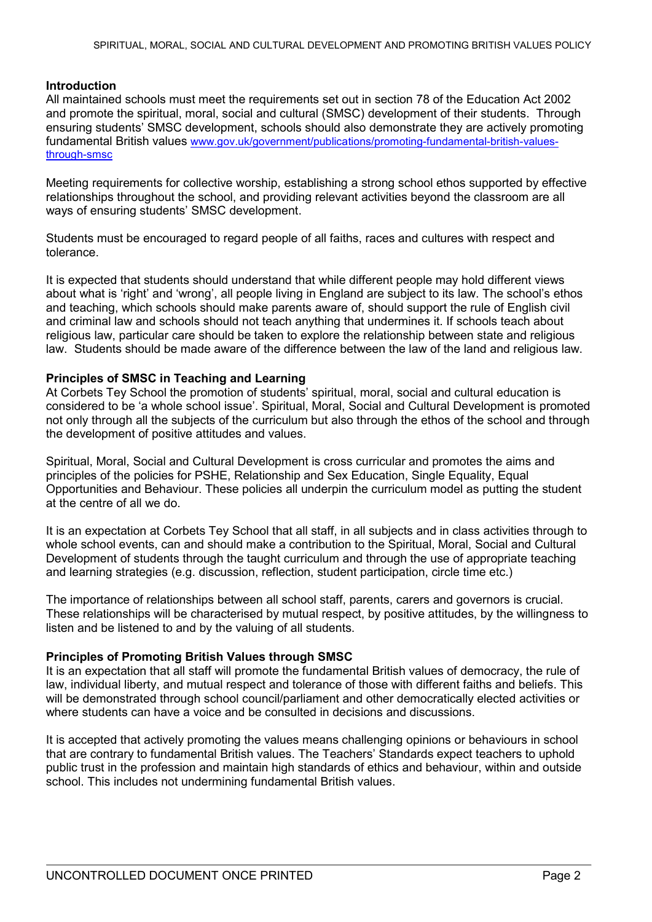#### **Introduction**

All maintained schools must meet the requirements set out in section 78 of the Education Act 2002 and promote the spiritual, moral, social and cultural (SMSC) development of their students. Through ensuring students' SMSC development, schools should also demonstrate they are actively promoting fundamental British values [www.gov.uk/government/publications/promoting-fundamental-british-values](http://www.gov.uk/government/publications/promoting-fundamental-british-values-through-smsc)[through-smsc](http://www.gov.uk/government/publications/promoting-fundamental-british-values-through-smsc)

Meeting requirements for collective worship, establishing a strong school ethos supported by effective relationships throughout the school, and providing relevant activities beyond the classroom are all ways of ensuring students' SMSC development.

Students must be encouraged to regard people of all faiths, races and cultures with respect and tolerance.

It is expected that students should understand that while different people may hold different views about what is 'right' and 'wrong', all people living in England are subject to its law. The school's ethos and teaching, which schools should make parents aware of, should support the rule of English civil and criminal law and schools should not teach anything that undermines it. If schools teach about religious law, particular care should be taken to explore the relationship between state and religious law. Students should be made aware of the difference between the law of the land and religious law.

#### **Principles of SMSC in Teaching and Learning**

At Corbets Tey School the promotion of students' spiritual, moral, social and cultural education is considered to be 'a whole school issue'. Spiritual, Moral, Social and Cultural Development is promoted not only through all the subjects of the curriculum but also through the ethos of the school and through the development of positive attitudes and values.

Spiritual, Moral, Social and Cultural Development is cross curricular and promotes the aims and principles of the policies for PSHE, Relationship and Sex Education, Single Equality, Equal Opportunities and Behaviour. These policies all underpin the curriculum model as putting the student at the centre of all we do.

It is an expectation at Corbets Tey School that all staff, in all subjects and in class activities through to whole school events, can and should make a contribution to the Spiritual, Moral, Social and Cultural Development of students through the taught curriculum and through the use of appropriate teaching and learning strategies (e.g. discussion, reflection, student participation, circle time etc.)

The importance of relationships between all school staff, parents, carers and governors is crucial. These relationships will be characterised by mutual respect, by positive attitudes, by the willingness to listen and be listened to and by the valuing of all students.

#### **Principles of Promoting British Values through SMSC**

It is an expectation that all staff will promote the fundamental British values of democracy, the rule of law, individual liberty, and mutual respect and tolerance of those with different faiths and beliefs. This will be demonstrated through school council/parliament and other democratically elected activities or where students can have a voice and be consulted in decisions and discussions.

It is accepted that actively promoting the values means challenging opinions or behaviours in school that are contrary to fundamental British values. The Teachers' Standards expect teachers to uphold public trust in the profession and maintain high standards of ethics and behaviour, within and outside school. This includes not undermining fundamental British values.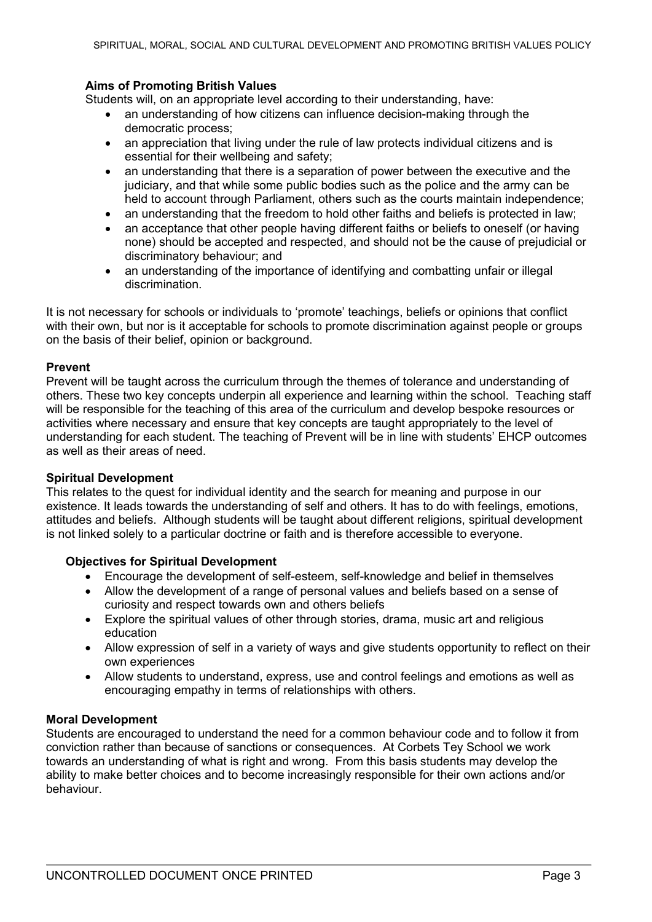### **Aims of Promoting British Values**

Students will, on an appropriate level according to their understanding, have:

- an understanding of how citizens can influence decision-making through the democratic process;
- an appreciation that living under the rule of law protects individual citizens and is essential for their wellbeing and safety;
- an understanding that there is a separation of power between the executive and the judiciary, and that while some public bodies such as the police and the army can be held to account through Parliament, others such as the courts maintain independence;
- an understanding that the freedom to hold other faiths and beliefs is protected in law;
- an acceptance that other people having different faiths or beliefs to oneself (or having none) should be accepted and respected, and should not be the cause of prejudicial or discriminatory behaviour; and
- an understanding of the importance of identifying and combatting unfair or illegal discrimination.

It is not necessary for schools or individuals to 'promote' teachings, beliefs or opinions that conflict with their own, but nor is it acceptable for schools to promote discrimination against people or groups on the basis of their belief, opinion or background.

#### **Prevent**

Prevent will be taught across the curriculum through the themes of tolerance and understanding of others. These two key concepts underpin all experience and learning within the school. Teaching staff will be responsible for the teaching of this area of the curriculum and develop bespoke resources or activities where necessary and ensure that key concepts are taught appropriately to the level of understanding for each student. The teaching of Prevent will be in line with students' EHCP outcomes as well as their areas of need.

### **Spiritual Development**

This relates to the quest for individual identity and the search for meaning and purpose in our existence. It leads towards the understanding of self and others. It has to do with feelings, emotions, attitudes and beliefs. Although students will be taught about different religions, spiritual development is not linked solely to a particular doctrine or faith and is therefore accessible to everyone.

### **Objectives for Spiritual Development**

- Encourage the development of self-esteem, self-knowledge and belief in themselves
- Allow the development of a range of personal values and beliefs based on a sense of curiosity and respect towards own and others beliefs
- Explore the spiritual values of other through stories, drama, music art and religious education
- Allow expression of self in a variety of ways and give students opportunity to reflect on their own experiences
- Allow students to understand, express, use and control feelings and emotions as well as encouraging empathy in terms of relationships with others.

### **Moral Development**

Students are encouraged to understand the need for a common behaviour code and to follow it from conviction rather than because of sanctions or consequences. At Corbets Tey School we work towards an understanding of what is right and wrong. From this basis students may develop the ability to make better choices and to become increasingly responsible for their own actions and/or behaviour.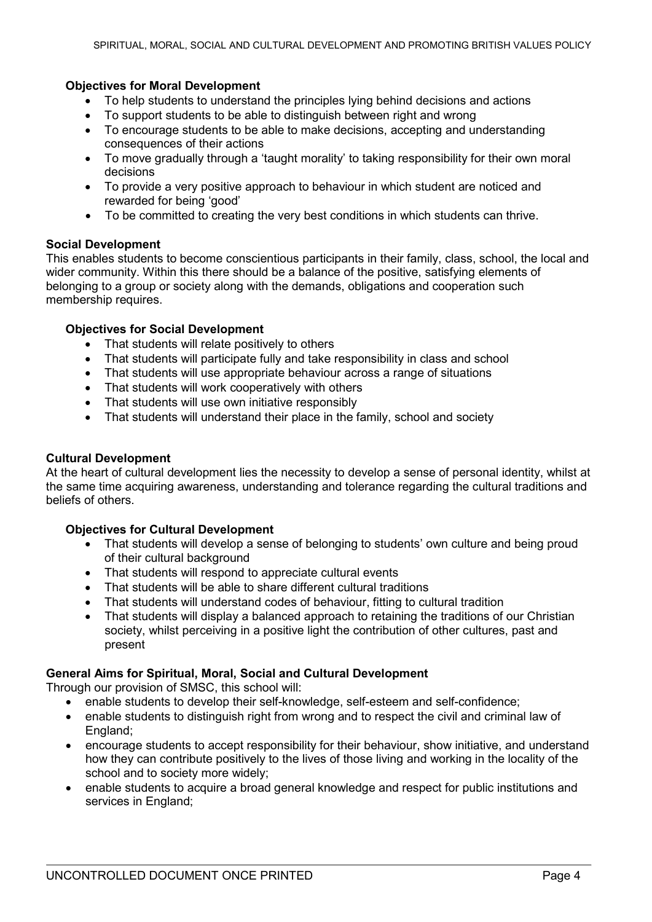# **Objectives for Moral Development**

- To help students to understand the principles lying behind decisions and actions
- To support students to be able to distinguish between right and wrong
- To encourage students to be able to make decisions, accepting and understanding consequences of their actions
- To move gradually through a 'taught morality' to taking responsibility for their own moral decisions
- To provide a very positive approach to behaviour in which student are noticed and rewarded for being 'good'
- To be committed to creating the very best conditions in which students can thrive.

# **Social Development**

This enables students to become conscientious participants in their family, class, school, the local and wider community. Within this there should be a balance of the positive, satisfying elements of belonging to a group or society along with the demands, obligations and cooperation such membership requires.

# **Objectives for Social Development**

- That students will relate positively to others
- That students will participate fully and take responsibility in class and school
- That students will use appropriate behaviour across a range of situations
- That students will work cooperatively with others
- That students will use own initiative responsibly
- That students will understand their place in the family, school and society

### **Cultural Development**

At the heart of cultural development lies the necessity to develop a sense of personal identity, whilst at the same time acquiring awareness, understanding and tolerance regarding the cultural traditions and beliefs of others.

### **Objectives for Cultural Development**

- That students will develop a sense of belonging to students' own culture and being proud of their cultural background
- That students will respond to appreciate cultural events
- That students will be able to share different cultural traditions
- That students will understand codes of behaviour, fitting to cultural tradition
- That students will display a balanced approach to retaining the traditions of our Christian society, whilst perceiving in a positive light the contribution of other cultures, past and present

### **General Aims for Spiritual, Moral, Social and Cultural Development**

Through our provision of SMSC, this school will:

- enable students to develop their self-knowledge, self-esteem and self-confidence;
- enable students to distinguish right from wrong and to respect the civil and criminal law of England;
- encourage students to accept responsibility for their behaviour, show initiative, and understand how they can contribute positively to the lives of those living and working in the locality of the school and to society more widely;
- enable students to acquire a broad general knowledge and respect for public institutions and services in England;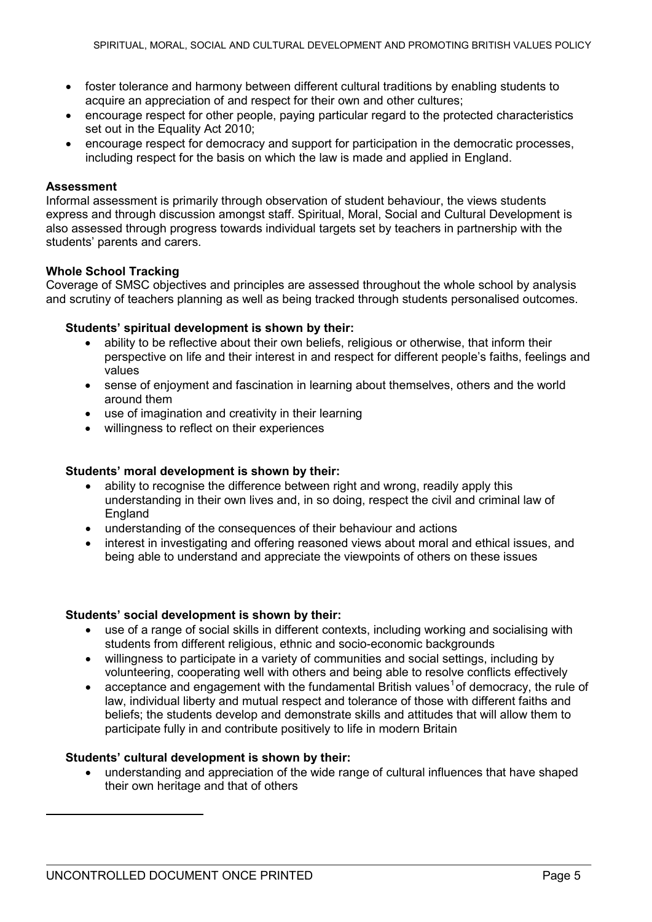- foster tolerance and harmony between different cultural traditions by enabling students to acquire an appreciation of and respect for their own and other cultures;
- encourage respect for other people, paying particular regard to the protected characteristics set out in the Equality Act 2010;
- encourage respect for democracy and support for participation in the democratic processes, including respect for the basis on which the law is made and applied in England.

### **Assessment**

Informal assessment is primarily through observation of student behaviour, the views students express and through discussion amongst staff. Spiritual, Moral, Social and Cultural Development is also assessed through progress towards individual targets set by teachers in partnership with the students' parents and carers.

# **Whole School Tracking**

Coverage of SMSC objectives and principles are assessed throughout the whole school by analysis and scrutiny of teachers planning as well as being tracked through students personalised outcomes.

### **Students' spiritual development is shown by their:**

- ability to be reflective about their own beliefs, religious or otherwise, that inform their perspective on life and their interest in and respect for different people's faiths, feelings and values
- sense of enjoyment and fascination in learning about themselves, others and the world around them
- use of imagination and creativity in their learning
- willingness to reflect on their experiences

### **Students' moral development is shown by their:**

- ability to recognise the difference between right and wrong, readily apply this understanding in their own lives and, in so doing, respect the civil and criminal law of England
- understanding of the consequences of their behaviour and actions
- interest in investigating and offering reasoned views about moral and ethical issues, and being able to understand and appreciate the viewpoints of others on these issues

### **Students' social development is shown by their:**

- use of a range of social skills in different contexts, including working and socialising with students from different religious, ethnic and socio-economic backgrounds
- willingness to participate in a variety of communities and social settings, including by volunteering, cooperating well with others and being able to resolve conflicts effectively
- acceptance and engagement with the fundamental British values<sup>[1](#page-4-0)</sup> of democracy, the rule of law, individual liberty and mutual respect and tolerance of those with different faiths and beliefs; the students develop and demonstrate skills and attitudes that will allow them to participate fully in and contribute positively to life in modern Britain

### **Students' cultural development is shown by their:**

• understanding and appreciation of the wide range of cultural influences that have shaped their own heritage and that of others

UNCONTROLLED DOCUMENT ONCE PRINTED **Example 20 and 20 years of the CONTROLLED** Page 5

<span id="page-4-0"></span><u>.</u>